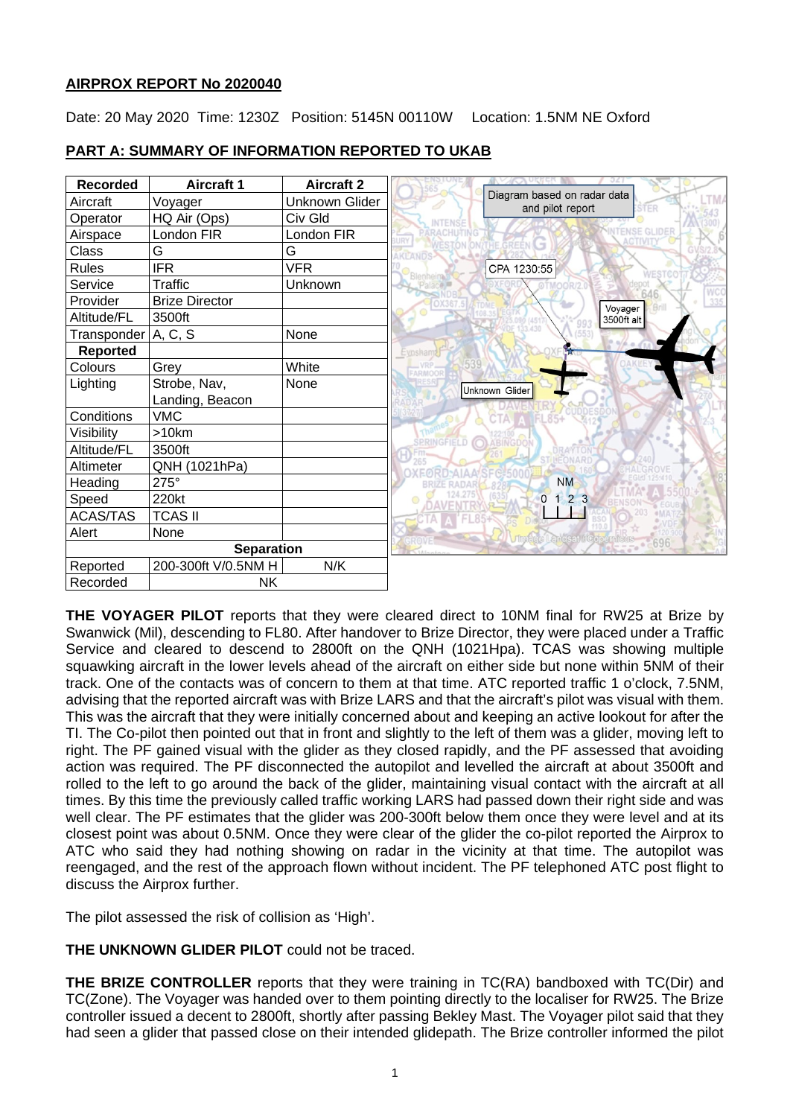## **AIRPROX REPORT No 2020040**

Date: 20 May 2020 Time: 1230Z Position: 5145N 00110W Location: 1.5NM NE Oxford

| <b>Recorded</b>       | <b>Aircraft 1</b>     | <b>Aircraft 2</b> |                                                                |
|-----------------------|-----------------------|-------------------|----------------------------------------------------------------|
| Aircraft              | Voyager               | Unknown Glider    | Diagram based on radar data<br>and pilot report<br><b>STER</b> |
| Operator              | HQ Air (Ops)          | Civ Gld           |                                                                |
| Airspace              | London FIR            | London FIR        | ACTIVIT                                                        |
| Class                 | G                     | G                 |                                                                |
| <b>Rules</b>          | <b>IFR</b>            | <b>VFR</b>        | CPA 1230:55                                                    |
| Service               | <b>Traffic</b>        | Unknown           |                                                                |
| Provider              | <b>Brize Director</b> |                   | 335<br>Voyager                                                 |
| Altitude/FL           | 3500ft                |                   | 3500ft alt                                                     |
| Transponder   A, C, S |                       | None              |                                                                |
| <b>Reported</b>       |                       |                   | Eynsham                                                        |
| Colours               | Grey                  | White             |                                                                |
| Lighting              | Strobe, Nav,          | None              | Unknown Glider                                                 |
|                       | Landing, Beacon       |                   |                                                                |
| Conditions            | <b>VMC</b>            |                   |                                                                |
| Visibility            | >10km                 |                   | <b>SPRINGFIELD (O)</b><br><b>ABINGDOI</b>                      |
| Altitude/FL           | 3500ft                |                   |                                                                |
| Altimeter             | QNH (1021hPa)         |                   |                                                                |
| Heading               | 275°                  |                   | <b>NM</b>                                                      |
| Speed                 | 220kt                 |                   | 123<br>0                                                       |
| <b>ACAS/TAS</b>       | <b>TCAS II</b>        |                   |                                                                |
| Alert                 | None                  |                   | <b>andsat ACcorer</b>                                          |
| <b>Separation</b>     |                       |                   | 770°696                                                        |
| Reported              | 200-300ft V/0.5NM H   | N/K               |                                                                |
| Recorded              | <b>NK</b>             |                   |                                                                |

# **PART A: SUMMARY OF INFORMATION REPORTED TO UKAB**

**THE VOYAGER PILOT** reports that they were cleared direct to 10NM final for RW25 at Brize by Swanwick (Mil), descending to FL80. After handover to Brize Director, they were placed under a Traffic Service and cleared to descend to 2800ft on the QNH (1021Hpa). TCAS was showing multiple squawking aircraft in the lower levels ahead of the aircraft on either side but none within 5NM of their track. One of the contacts was of concern to them at that time. ATC reported traffic 1 o'clock, 7.5NM, advising that the reported aircraft was with Brize LARS and that the aircraft's pilot was visual with them. This was the aircraft that they were initially concerned about and keeping an active lookout for after the TI. The Co-pilot then pointed out that in front and slightly to the left of them was a glider, moving left to right. The PF gained visual with the glider as they closed rapidly, and the PF assessed that avoiding action was required. The PF disconnected the autopilot and levelled the aircraft at about 3500ft and rolled to the left to go around the back of the glider, maintaining visual contact with the aircraft at all times. By this time the previously called traffic working LARS had passed down their right side and was well clear. The PF estimates that the glider was 200-300ft below them once they were level and at its closest point was about 0.5NM. Once they were clear of the glider the co-pilot reported the Airprox to ATC who said they had nothing showing on radar in the vicinity at that time. The autopilot was reengaged, and the rest of the approach flown without incident. The PF telephoned ATC post flight to discuss the Airprox further.

The pilot assessed the risk of collision as 'High'.

**THE UNKNOWN GLIDER PILOT** could not be traced.

**THE BRIZE CONTROLLER** reports that they were training in TC(RA) bandboxed with TC(Dir) and TC(Zone). The Voyager was handed over to them pointing directly to the localiser for RW25. The Brize controller issued a decent to 2800ft, shortly after passing Bekley Mast. The Voyager pilot said that they had seen a glider that passed close on their intended glidepath. The Brize controller informed the pilot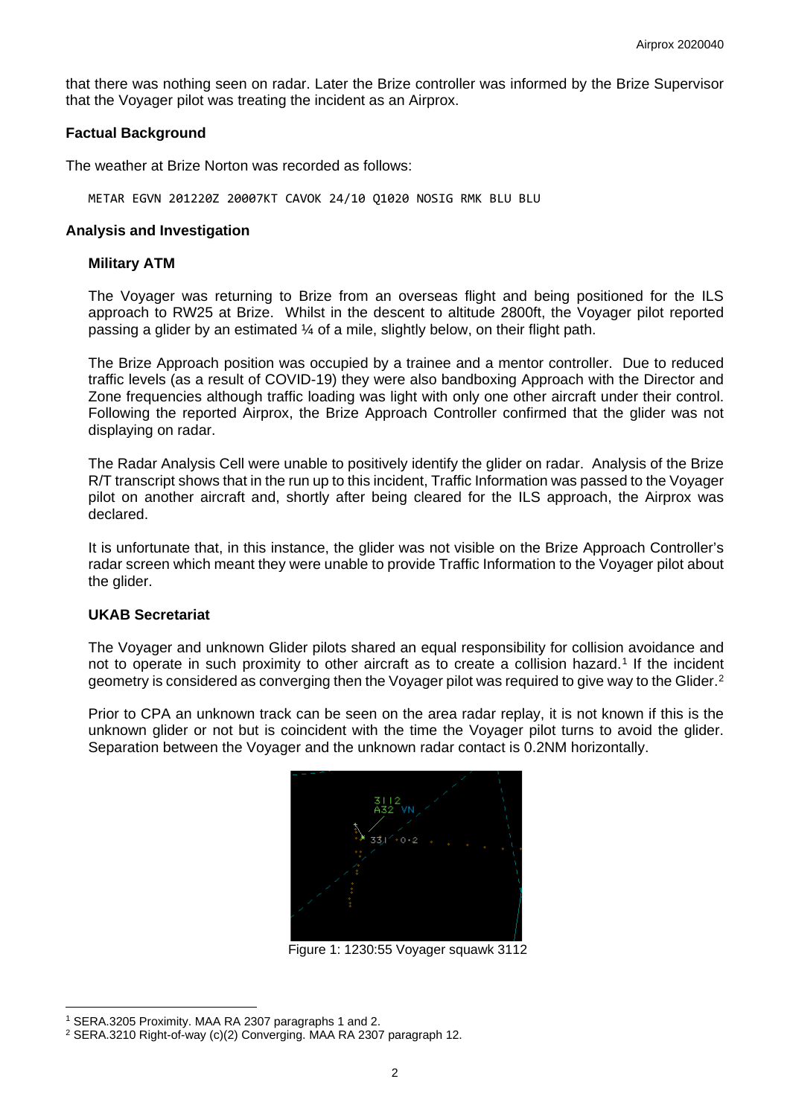that there was nothing seen on radar. Later the Brize controller was informed by the Brize Supervisor that the Voyager pilot was treating the incident as an Airprox.

#### **Factual Background**

The weather at Brize Norton was recorded as follows:

METAR EGVN 201220Z 20007KT CAVOK 24/10 Q1020 NOSIG RMK BLU BLU

### **Analysis and Investigation**

### **Military ATM**

The Voyager was returning to Brize from an overseas flight and being positioned for the ILS approach to RW25 at Brize. Whilst in the descent to altitude 2800ft, the Voyager pilot reported passing a glider by an estimated ¼ of a mile, slightly below, on their flight path.

The Brize Approach position was occupied by a trainee and a mentor controller. Due to reduced traffic levels (as a result of COVID-19) they were also bandboxing Approach with the Director and Zone frequencies although traffic loading was light with only one other aircraft under their control. Following the reported Airprox, the Brize Approach Controller confirmed that the glider was not displaying on radar.

The Radar Analysis Cell were unable to positively identify the glider on radar. Analysis of the Brize R/T transcript shows that in the run up to this incident, Traffic Information was passed to the Voyager pilot on another aircraft and, shortly after being cleared for the ILS approach, the Airprox was declared.

It is unfortunate that, in this instance, the glider was not visible on the Brize Approach Controller's radar screen which meant they were unable to provide Traffic Information to the Voyager pilot about the glider.

#### **UKAB Secretariat**

The Voyager and unknown Glider pilots shared an equal responsibility for collision avoidance and not to operate in such proximity to other aircraft as to create a collision hazard.<sup>[1](#page-1-0)</sup> If the incident geometry is considered as converging then the Voyager pilot was required to give way to the Glider.<sup>[2](#page-1-1)</sup>

Prior to CPA an unknown track can be seen on the area radar replay, it is not known if this is the unknown glider or not but is coincident with the time the Voyager pilot turns to avoid the glider. Separation between the Voyager and the unknown radar contact is 0.2NM horizontally.



Figure 1: 1230:55 Voyager squawk 3112

<span id="page-1-0"></span><sup>1</sup> SERA.3205 Proximity. MAA RA 2307 paragraphs 1 and 2.

<span id="page-1-1"></span><sup>2</sup> SERA.3210 Right-of-way (c)(2) Converging. MAA RA 2307 paragraph 12.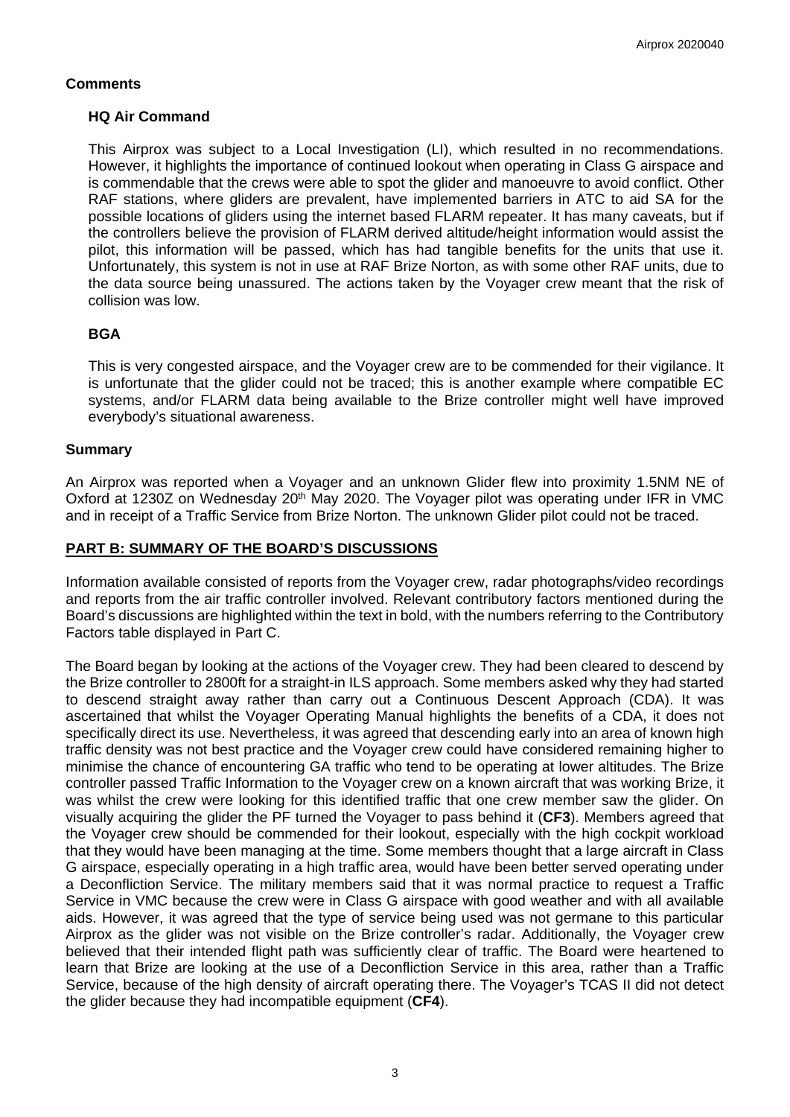## **Comments**

## **HQ Air Command**

This Airprox was subject to a Local Investigation (LI), which resulted in no recommendations. However, it highlights the importance of continued lookout when operating in Class G airspace and is commendable that the crews were able to spot the glider and manoeuvre to avoid conflict. Other RAF stations, where gliders are prevalent, have implemented barriers in ATC to aid SA for the possible locations of gliders using the internet based FLARM repeater. It has many caveats, but if the controllers believe the provision of FLARM derived altitude/height information would assist the pilot, this information will be passed, which has had tangible benefits for the units that use it. Unfortunately, this system is not in use at RAF Brize Norton, as with some other RAF units, due to the data source being unassured. The actions taken by the Voyager crew meant that the risk of collision was low.

## **BGA**

This is very congested airspace, and the Voyager crew are to be commended for their vigilance. It is unfortunate that the glider could not be traced; this is another example where compatible EC systems, and/or FLARM data being available to the Brize controller might well have improved everybody's situational awareness.

### **Summary**

An Airprox was reported when a Voyager and an unknown Glider flew into proximity 1.5NM NE of Oxford at 1230Z on Wednesday 20<sup>th</sup> May 2020. The Voyager pilot was operating under IFR in VMC and in receipt of a Traffic Service from Brize Norton. The unknown Glider pilot could not be traced.

### **PART B: SUMMARY OF THE BOARD'S DISCUSSIONS**

Information available consisted of reports from the Voyager crew, radar photographs/video recordings and reports from the air traffic controller involved. Relevant contributory factors mentioned during the Board's discussions are highlighted within the text in bold, with the numbers referring to the Contributory Factors table displayed in Part C.

The Board began by looking at the actions of the Voyager crew. They had been cleared to descend by the Brize controller to 2800ft for a straight-in ILS approach. Some members asked why they had started to descend straight away rather than carry out a Continuous Descent Approach (CDA). It was ascertained that whilst the Voyager Operating Manual highlights the benefits of a CDA, it does not specifically direct its use. Nevertheless, it was agreed that descending early into an area of known high traffic density was not best practice and the Voyager crew could have considered remaining higher to minimise the chance of encountering GA traffic who tend to be operating at lower altitudes. The Brize controller passed Traffic Information to the Voyager crew on a known aircraft that was working Brize, it was whilst the crew were looking for this identified traffic that one crew member saw the glider. On visually acquiring the glider the PF turned the Voyager to pass behind it (**CF3**). Members agreed that the Voyager crew should be commended for their lookout, especially with the high cockpit workload that they would have been managing at the time. Some members thought that a large aircraft in Class G airspace, especially operating in a high traffic area, would have been better served operating under a Deconfliction Service. The military members said that it was normal practice to request a Traffic Service in VMC because the crew were in Class G airspace with good weather and with all available aids. However, it was agreed that the type of service being used was not germane to this particular Airprox as the glider was not visible on the Brize controller's radar. Additionally, the Voyager crew believed that their intended flight path was sufficiently clear of traffic. The Board were heartened to learn that Brize are looking at the use of a Deconfliction Service in this area, rather than a Traffic Service, because of the high density of aircraft operating there. The Voyager's TCAS II did not detect the glider because they had incompatible equipment (**CF4**).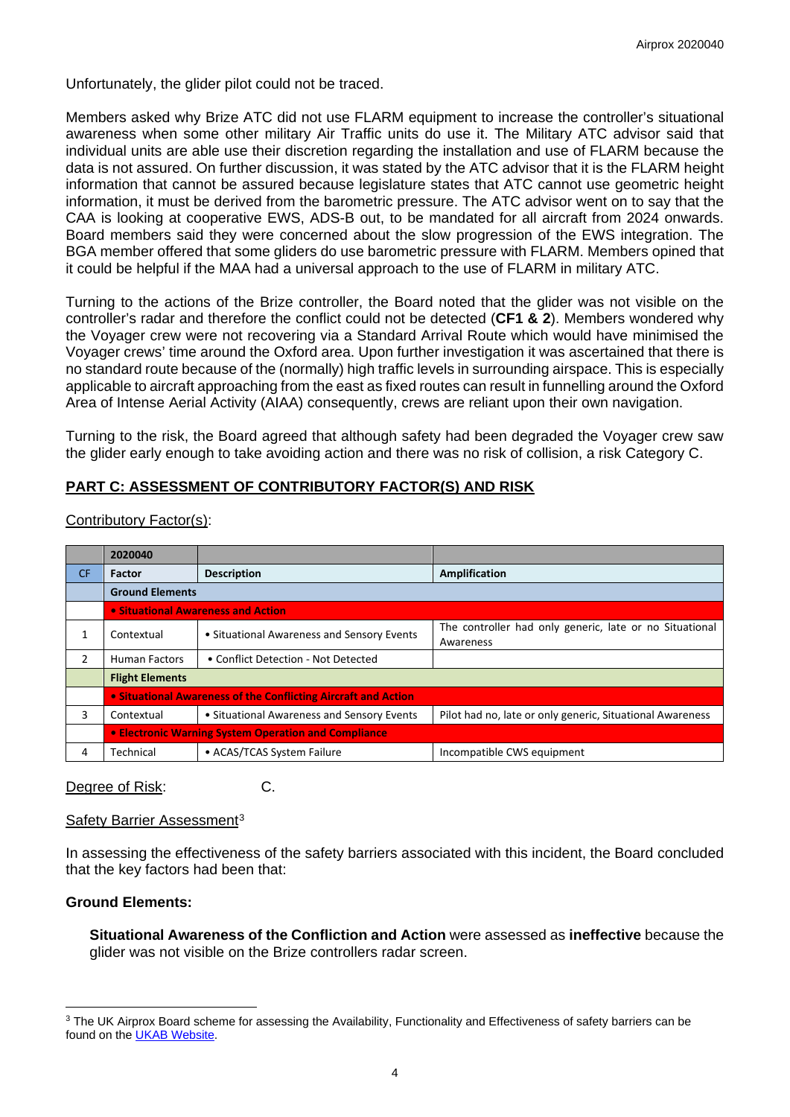Unfortunately, the glider pilot could not be traced.

Members asked why Brize ATC did not use FLARM equipment to increase the controller's situational awareness when some other military Air Traffic units do use it. The Military ATC advisor said that individual units are able use their discretion regarding the installation and use of FLARM because the data is not assured. On further discussion, it was stated by the ATC advisor that it is the FLARM height information that cannot be assured because legislature states that ATC cannot use geometric height information, it must be derived from the barometric pressure. The ATC advisor went on to say that the CAA is looking at cooperative EWS, ADS-B out, to be mandated for all aircraft from 2024 onwards. Board members said they were concerned about the slow progression of the EWS integration. The BGA member offered that some gliders do use barometric pressure with FLARM. Members opined that it could be helpful if the MAA had a universal approach to the use of FLARM in military ATC.

Turning to the actions of the Brize controller, the Board noted that the glider was not visible on the controller's radar and therefore the conflict could not be detected (**CF1 & 2**). Members wondered why the Voyager crew were not recovering via a Standard Arrival Route which would have minimised the Voyager crews' time around the Oxford area. Upon further investigation it was ascertained that there is no standard route because of the (normally) high traffic levels in surrounding airspace. This is especially applicable to aircraft approaching from the east as fixed routes can result in funnelling around the Oxford Area of Intense Aerial Activity (AIAA) consequently, crews are reliant upon their own navigation.

Turning to the risk, the Board agreed that although safety had been degraded the Voyager crew saw the glider early enough to take avoiding action and there was no risk of collision, a risk Category C.

# **PART C: ASSESSMENT OF CONTRIBUTORY FACTOR(S) AND RISK**

|               | 2020040                                                        |                                            |                                                                      |  |  |  |  |  |  |
|---------------|----------------------------------------------------------------|--------------------------------------------|----------------------------------------------------------------------|--|--|--|--|--|--|
| <b>CF</b>     | <b>Factor</b>                                                  | <b>Description</b>                         | <b>Amplification</b>                                                 |  |  |  |  |  |  |
|               | <b>Ground Elements</b>                                         |                                            |                                                                      |  |  |  |  |  |  |
|               | • Situational Awareness and Action                             |                                            |                                                                      |  |  |  |  |  |  |
|               | Contextual                                                     | • Situational Awareness and Sensory Events | The controller had only generic, late or no Situational<br>Awareness |  |  |  |  |  |  |
| $\mathcal{P}$ | <b>Human Factors</b>                                           | • Conflict Detection - Not Detected        |                                                                      |  |  |  |  |  |  |
|               | <b>Flight Elements</b>                                         |                                            |                                                                      |  |  |  |  |  |  |
|               | • Situational Awareness of the Conflicting Aircraft and Action |                                            |                                                                      |  |  |  |  |  |  |
| 3             | • Situational Awareness and Sensory Events<br>Contextual       |                                            | Pilot had no, late or only generic, Situational Awareness            |  |  |  |  |  |  |
|               | <b>.</b> Electronic Warning System Operation and Compliance    |                                            |                                                                      |  |  |  |  |  |  |
| 4             | • ACAS/TCAS System Failure<br>Technical                        |                                            | Incompatible CWS equipment                                           |  |  |  |  |  |  |

### Contributory Factor(s):

Degree of Risk: C.

## Safety Barrier Assessment<sup>[3](#page-3-0)</sup>

In assessing the effectiveness of the safety barriers associated with this incident, the Board concluded that the key factors had been that:

## **Ground Elements:**

**Situational Awareness of the Confliction and Action** were assessed as **ineffective** because the glider was not visible on the Brize controllers radar screen.

<span id="page-3-0"></span><sup>&</sup>lt;sup>3</sup> The UK Airprox Board scheme for assessing the Availability, Functionality and Effectiveness of safety barriers can be found on the [UKAB Website.](http://www.airproxboard.org.uk/Learn-more/Airprox-Barrier-Assessment/)